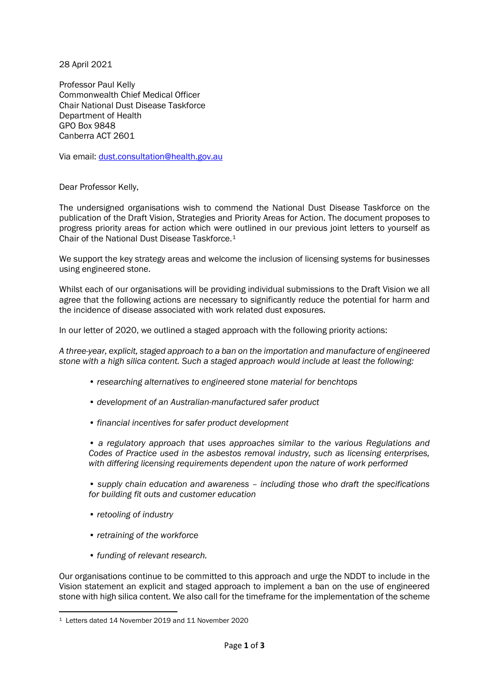28 April 2021

Professor Paul Kelly Commonwealth Chief Medical Officer Chair National Dust Disease Taskforce Department of Health GPO Box 9848 Canberra ACT 2601

Via email: [dust.consultation@health.gov.au](mailto:dust.consultation@health.gov.au)

Dear Professor Kelly,

The undersigned organisations wish to commend the National Dust Disease Taskforce on the publication of the Draft Vision, Strategies and Priority Areas for Action. The document proposes to progress priority areas for action which were outlined in our previous joint letters to yourself as Chair of the National Dust Disease Taskforce.[1](#page-0-0)

We support the key strategy areas and welcome the inclusion of licensing systems for businesses using engineered stone.

Whilst each of our organisations will be providing individual submissions to the Draft Vision we all agree that the following actions are necessary to significantly reduce the potential for harm and the incidence of disease associated with work related dust exposures.

In our letter of 2020, we outlined a staged approach with the following priority actions:

*A three-year, explicit, staged approach to a ban on the importation and manufacture of engineered stone with a high silica content. Such a staged approach would include at least the following:* 

- *researching alternatives to engineered stone material for benchtops*
- *development of an Australian-manufactured safer product*
- *financial incentives for safer product development*

*• a regulatory approach that uses approaches similar to the various Regulations and Codes of Practice used in the asbestos removal industry, such as licensing enterprises, with differing licensing requirements dependent upon the nature of work performed* 

*• supply chain education and awareness – including those who draft the specifications for building fit outs and customer education* 

- *retooling of industry*
- *retraining of the workforce*
- *funding of relevant research.*

Our organisations continue to be committed to this approach and urge the NDDT to include in the Vision statement an explicit and staged approach to implement a ban on the use of engineered stone with high silica content. We also call for the timeframe for the implementation of the scheme

<span id="page-0-0"></span><sup>1</sup> Letters dated 14 November 2019 and 11 November 2020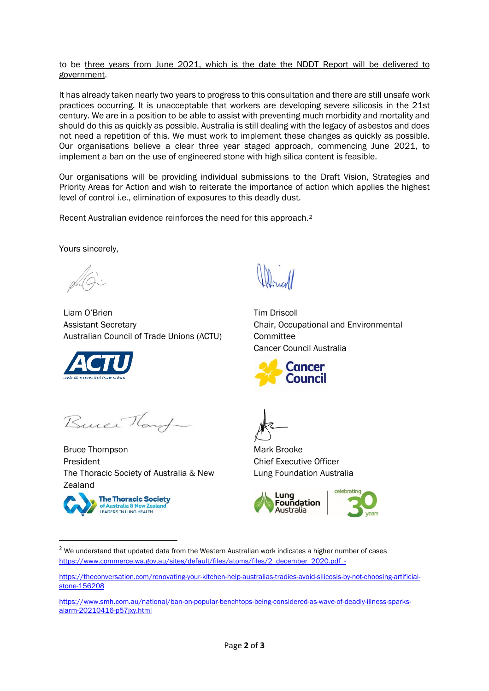## to be three years from June 2021, which is the date the NDDT Report will be delivered to government.

It has already taken nearly two years to progress to this consultation and there are still unsafe work practices occurring. It is unacceptable that workers are developing severe silicosis in the 21st century. We are in a position to be able to assist with preventing much morbidity and mortality and should do this as quickly as possible. Australia is still dealing with the legacy of asbestos and does not need a repetition of this. We must work to implement these changes as quickly as possible. Our organisations believe a clear three year staged approach, commencing June 2021, to implement a ban on the use of engineered stone with high silica content is feasible.

Our organisations will be providing individual submissions to the Draft Vision, Strategies and Priority Areas for Action and wish to reiterate the importance of action which applies the highest level of control i.e., elimination of exposures to this deadly dust.

Recent Australian evidence reinforces the need for this approach[.2](#page-1-0)

Yours sincerely,

Liam O'Brien Assistant Secretary Australian Council of Trade Unions (ACTU)



Buice Hart

Bruce Thompson President The Thoracic Society of Australia & New Zealand



Tim Driscoll Chair, Occupational and Environmental **Committee** Cancer Council Australia



Mark Brooke Chief Executive Officer Lung Foundation Australia



<span id="page-1-0"></span> $2$  We understand that updated data from the Western Australian work indicates a higher number of cases [https://www.commerce.wa.gov.au/sites/default/files/atoms/files/2\\_december\\_2020.pdf](https://protect-au.mimecast.com/s/X9o9C0YK7lsgyL4twgKpq?domain=commerce.wa.gov.au) -

[https://theconversation.com/renovating-your-kitchen-help-australias-tradies-avoid-silicosis-by-not-choosing-artificial](https://theconversation.com/renovating-your-kitchen-help-australias-tradies-avoid-silicosis-by-not-choosing-artificial-stone-156208)[stone-156208](https://theconversation.com/renovating-your-kitchen-help-australias-tradies-avoid-silicosis-by-not-choosing-artificial-stone-156208)

[https://www.smh.com.au/national/ban-on-popular-benchtops-being-considered-as-wave-of-deadly-illness-sparks](https://protect-au.mimecast.com/s/Bge9CK1DyWuM7mLuM1vRg?domain=smh.com.au)[alarm-20210416-p57jxy.html](https://protect-au.mimecast.com/s/Bge9CK1DyWuM7mLuM1vRg?domain=smh.com.au)